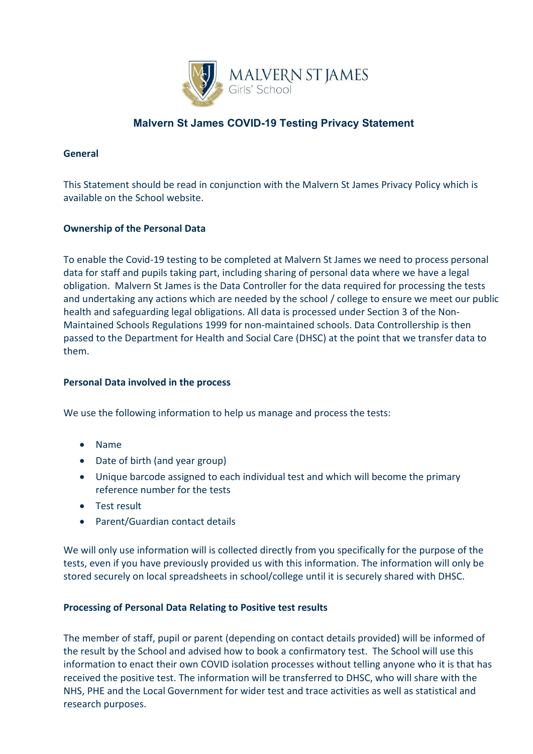

# **Malvern St James COVID-19 Testing Privacy Statement**

## **General**

This Statement should be read in conjunction with the Malvern St James Privacy Policy which is available on the School website.

# **Ownership of the Personal Data**

To enable the Covid-19 testing to be completed at Malvern St James we need to process personal data for staff and pupils taking part, including sharing of personal data where we have a legal obligation. Malvern St James is the Data Controller for the data required for processing the tests and undertaking any actions which are needed by the school / college to ensure we meet our public health and safeguarding legal obligations. All data is processed under Section 3 of the Non-Maintained Schools Regulations 1999 for non-maintained schools. Data Controllership is then passed to the Department for Health and Social Care (DHSC) at the point that we transfer data to them.

### **Personal Data involved in the process**

We use the following information to help us manage and process the tests:

- Name
- Date of birth (and year group)
- Unique barcode assigned to each individual test and which will become the primary reference number for the tests
- Test result
- Parent/Guardian contact details

We will only use information will is collected directly from you specifically for the purpose of the tests, even if you have previously provided us with this information. The information will only be stored securely on local spreadsheets in school/college until it is securely shared with DHSC.

# **Processing of Personal Data Relating to Positive test results**

The member of staff, pupil or parent (depending on contact details provided) will be informed of the result by the School and advised how to book a confirmatory test. The School will use this information to enact their own COVID isolation processes without telling anyone who it is that has received the positive test. The information will be transferred to DHSC, who will share with the NHS, PHE and the Local Government for wider test and trace activities as well as statistical and research purposes.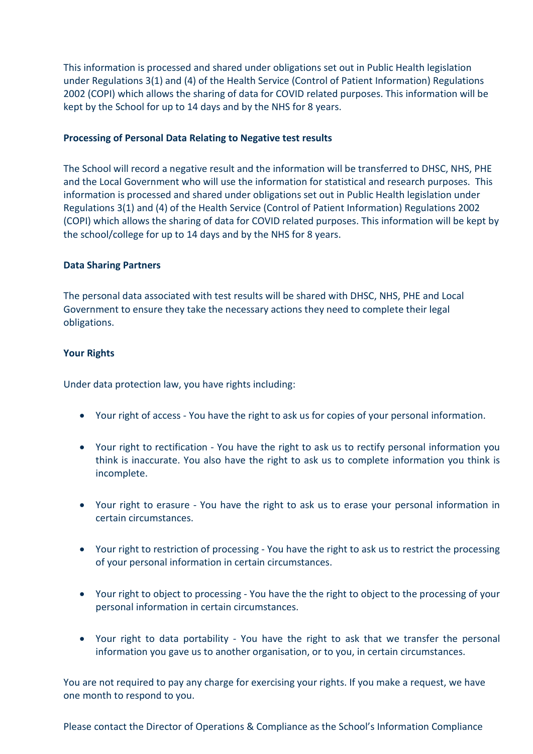This information is processed and shared under obligations set out in Public Health legislation under Regulations 3(1) and (4) of the Health Service (Control of Patient Information) Regulations 2002 (COPI) which allows the sharing of data for COVID related purposes. This information will be kept by the School for up to 14 days and by the NHS for 8 years.

#### **Processing of Personal Data Relating to Negative test results**

The School will record a negative result and the information will be transferred to DHSC, NHS, PHE and the Local Government who will use the information for statistical and research purposes. This information is processed and shared under obligations set out in Public Health legislation under Regulations 3(1) and (4) of the Health Service (Control of Patient Information) Regulations 2002 (COPI) which allows the sharing of data for COVID related purposes. This information will be kept by the school/college for up to 14 days and by the NHS for 8 years.

#### **Data Sharing Partners**

The personal data associated with test results will be shared with DHSC, NHS, PHE and Local Government to ensure they take the necessary actions they need to complete their legal obligations.

#### **Your Rights**

Under data protection law, you have rights including:

- Your right of access You have the right to ask us for copies of your personal information.
- Your right to rectification You have the right to ask us to rectify personal information you think is inaccurate. You also have the right to ask us to complete information you think is incomplete.
- Your right to erasure You have the right to ask us to erase your personal information in certain circumstances.
- Your right to restriction of processing You have the right to ask us to restrict the processing of your personal information in certain circumstances.
- Your right to object to processing You have the the right to object to the processing of your personal information in certain circumstances.
- Your right to data portability You have the right to ask that we transfer the personal information you gave us to another organisation, or to you, in certain circumstances.

You are not required to pay any charge for exercising your rights. If you make a request, we have one month to respond to you.

Please contact the Director of Operations & Compliance as the School's Information Compliance